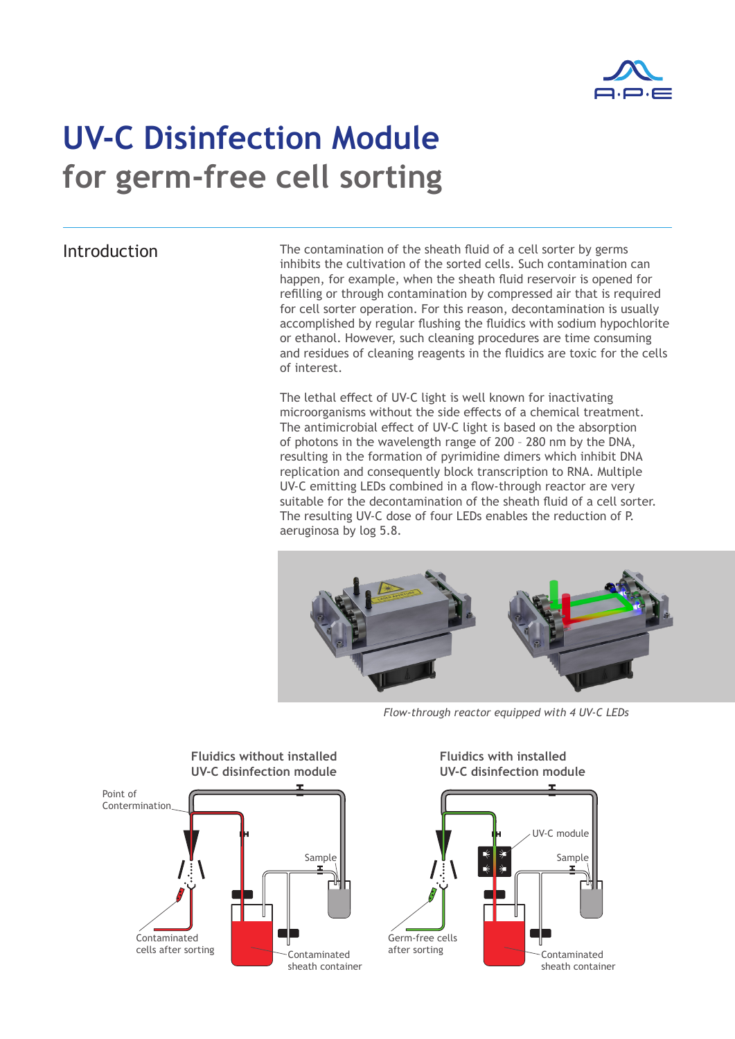

## **UV-C Disinfection Module for germ-free cell sorting**

Introduction The contamination of the sheath fluid of a cell sorter by germs inhibits the cultivation of the sorted cells. Such contamination can happen, for example, when the sheath fluid reservoir is opened for refilling or through contamination by compressed air that is required for cell sorter operation. For this reason, decontamination is usually accomplished by regular flushing the fluidics with sodium hypochlorite or ethanol. However, such cleaning procedures are time consuming and residues of cleaning reagents in the fluidics are toxic for the cells of interest.

> The lethal effect of UV-C light is well known for inactivating microorganisms without the side effects of a chemical treatment. The antimicrobial effect of UV-C light is based on the absorption of photons in the wavelength range of 200 – 280 nm by the DNA, resulting in the formation of pyrimidine dimers which inhibit DNA replication and consequently block transcription to RNA. Multiple UV-C emitting LEDs combined in a flow-through reactor are very suitable for the decontamination of the sheath fluid of a cell sorter. The resulting UV-C dose of four LEDs enables the reduction of P. aeruginosa by log 5.8.



*Flow-through reactor equipped with 4 UV-C LEDs*